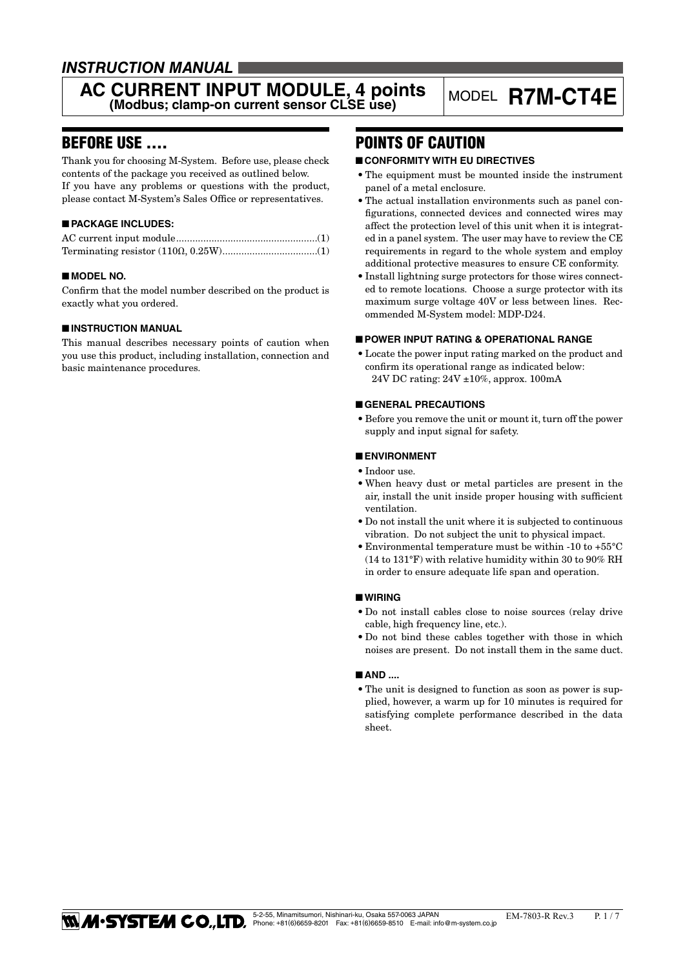# *INSTRUCTION MANUAL*

# **AC CURRENT INPUT MODULE, 4 points** MODEL **R7M-CT4E** (Modbus; clamp-on current sensor CLSE use)

# BEFORE USE ....

Thank you for choosing M-System. Before use, please check contents of the package you received as outlined below. If you have any problems or questions with the product, please contact M-System's Sales Office or representatives.

# ■ **PACKAGE INCLUDES:**

# ■ **MODEL NO.**

Confirm that the model number described on the product is exactly what you ordered.

# ■ **INSTRUCTION MANUAL**

This manual describes necessary points of caution when you use this product, including installation, connection and basic maintenance procedures.

# POINTS OF CAUTION

# ■ **CONFORMITY WITH EU DIRECTIVES**

- The equipment must be mounted inside the instrument panel of a metal enclosure.
- The actual installation environments such as panel configurations, connected devices and connected wires may affect the protection level of this unit when it is integrated in a panel system. The user may have to review the CE requirements in regard to the whole system and employ additional protective measures to ensure CE conformity.
- • Install lightning surge protectors for those wires connected to remote locations. Choose a surge protector with its maximum surge voltage 40V or less between lines. Recommended M-System model: MDP-D24.

#### ■ **POWER INPUT RATING & OPERATIONAL RANGE**

• Locate the power input rating marked on the product and confirm its operational range as indicated below: 24V DC rating: 24V ±10%, approx. 100mA

# ■ **GENERAL PRECAUTIONS**

• Before you remove the unit or mount it, turn off the power supply and input signal for safety.

# ■ **ENVIRONMENT**

- Indoor use.
- • When heavy dust or metal particles are present in the air, install the unit inside proper housing with sufficient ventilation.
- • Do not install the unit where it is subjected to continuous vibration. Do not subject the unit to physical impact.
- $\bullet$  Environmental temperature must be within -10 to +55°C (14 to 131°F) with relative humidity within 30 to 90% RH in order to ensure adequate life span and operation.

# ■ **WIRING**

- • Do not install cables close to noise sources (relay drive cable, high frequency line, etc.).
- • Do not bind these cables together with those in which noises are present. Do not install them in the same duct.

#### ■ **AND** ....

• The unit is designed to function as soon as power is supplied, however, a warm up for 10 minutes is required for satisfying complete performance described in the data sheet.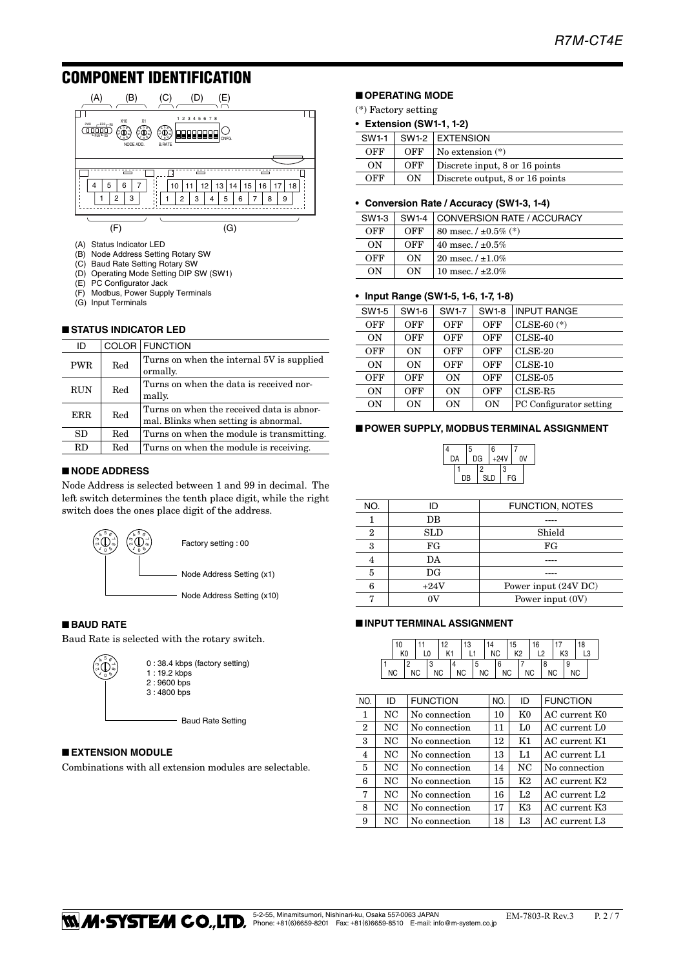# COMPONENT IDENTIFICATION



- (B) Node Address Setting Rotary SW
- (C) Baud Rate Setting Rotary SW
- (D) Operating Mode Setting DIP SW (SW1)
- PC Configurator Jack
- (F) Modbus, Power Supply Terminals
- (G) Input Terminals

# ■ **STATUS INDICATOR LED**

| ID         |     | COLOR FUNCTION                                                                     |
|------------|-----|------------------------------------------------------------------------------------|
| <b>PWR</b> | Red | Turns on when the internal 5V is supplied<br>ormally.                              |
| <b>RUN</b> | Red | Turns on when the data is received nor-<br>mally.                                  |
| <b>ERR</b> | Red | Turns on when the received data is abnor-<br>mal. Blinks when setting is abnormal. |
| SD         | Red | Turns on when the module is transmitting.                                          |
| <b>RD</b>  | Red | Turns on when the module is receiving.                                             |

# ■ **NODE ADDRESS**

Node Address is selected between 1 and 99 in decimal. The left switch determines the tenth place digit, while the right switch does the ones place digit of the address.



### ■ **BAUD RATE**

Baud Rate is selected with the rotary switch.



# ■ **EXTENSION MODULE**

Combinations with all extension modules are selectable.

# ■ **OPERATING MODE**

- (\*) Factory setting
- **Extension (SW1-1, 1-2)**

|     |     | $SW1-1$ SW1-2 EXTENSION         |
|-----|-----|---------------------------------|
| OFF | OFF | $\sqrt{N}$ No extension $(*)$   |
| ON  | OFF | Discrete input, 8 or 16 points  |
| OFF | ON  | Discrete output, 8 or 16 points |

#### **• Conversion Rate / Accuracy (SW1-3, 1-4)**

| SW1-3 | SW <sub>1-4</sub> | CONVERSION RATE / ACCURACY |
|-------|-------------------|----------------------------|
| OFF   | OFF               | 80 msec. $/ \pm 0.5\%$ (*) |
| ON    | OFF               | 40 msec. $/ \pm 0.5\%$     |
| OFF   | ON                | 20 msec. $/ \pm 1.0\%$     |
| OΝ    | ON                | 10 msec. $/ \pm 2.0\%$     |

#### **• Input Range (SW1-5, 1-6, 1-7, 1-8)**

| SW1-5     | SW1-6     | <b>SW1-7</b>   | <b>SW1-8</b> | <b>INPUT RANGE</b>      |
|-----------|-----------|----------------|--------------|-------------------------|
| OFF       | OFF       | <b>OFF</b>     | <b>OFF</b>   | $CLSE-60$ $(*)$         |
| ON        | OFF       | OFF            | <b>OFF</b>   | $CLSE-40$               |
| OFF       | ON        | OFF            | OFF          | $CLSE-20$               |
| ON        | ON        | OFF            | OFF          | $CLSE-10$               |
| OFF       | OFF       | 0 <sub>N</sub> | OFF          | $CLSE-05$               |
| ON        | OFF       | 0 <sub>N</sub> | OFF          | CLSE-R5                 |
| <b>ON</b> | <b>ON</b> | <b>ON</b>      | <b>ON</b>    | PC Configurator setting |

#### ■ **POWER SUPPLY, MODBUS TERMINAL ASSIGNMENT**



| NO. | ID          | FUNCTION, NOTES      |
|-----|-------------|----------------------|
|     | DB          |                      |
| 2   | <b>SLD</b>  | Shield               |
| 3   | FG          | FG                   |
|     | DA          |                      |
| 5   | $_{\rm DG}$ |                      |
| հ   | $+24V$      | Power input (24V DC) |
|     | m           | Power input (0V)     |
|     |             |                      |

#### ■ **INPUT TERMINAL ASSIGNMENT**

|  | 10<br>K <sub>0</sub> |           | 12<br>K1 | 13 |    | 14        | <b>NC</b> | 15<br>K <sub>2</sub> | 16 |           | K <sub>3</sub> | 18 |  |
|--|----------------------|-----------|----------|----|----|-----------|-----------|----------------------|----|-----------|----------------|----|--|
|  | ΝC                   | <b>NC</b> | ΝC       | NC | .5 | <b>NC</b> |           | NC                   | NC | <b>NC</b> |                | ΝC |  |

| NO.            | ID  | <b>FUNCTION</b> | NO. | ID             | <b>FUNCTION</b>           |
|----------------|-----|-----------------|-----|----------------|---------------------------|
| 1              | NC. | No connection   | 10  | K <sub>0</sub> | AC current K0             |
| $\mathbf{2}$   | NC. | No connection   | 11  | L0             | AC current L <sub>0</sub> |
| 3              | NC. | No connection   | 12  | K1             | AC current K1             |
| $\overline{4}$ | NC. | No connection   | 13  | L1             | AC current L1             |
| 5              | NC  | No connection   | 14  | NC.            | No connection             |
| 6              | NC  | No connection   | 15  | K <sub>2</sub> | AC current K2             |
| 7              | NC  | No connection   | 16  | L <sub>2</sub> | AC current L <sub>2</sub> |
| 8              | NC  | No connection   | 17  | K3             | AC current K3             |
| 9              | NC  | No connection   | 18  | L <sub>3</sub> | AC current L3             |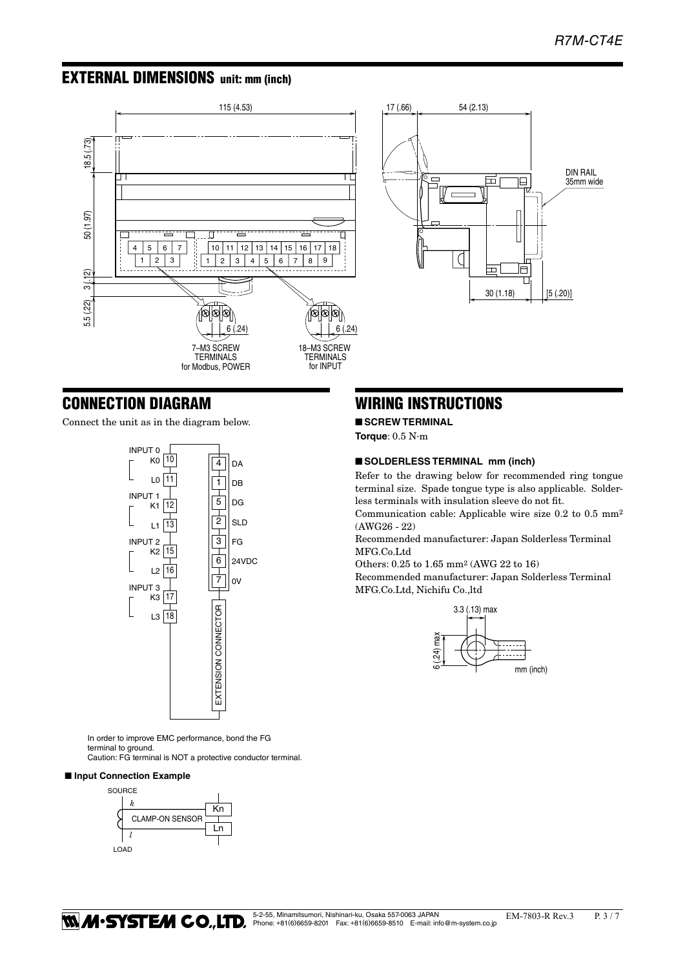# EXTERNAL DIMENSIONS unit: mm (inch)





# CONNECTION DIAGRAM

Connect the unit as in the diagram below.



In order to improve EMC performance, bond the FG terminal to ground.

Caution: FG terminal is NOT a protective conductor terminal.

# ■ **Input Connection Example**



# WIRING INSTRUCTIONS

■ **SCREW TERMINAL Torque**: 0.5 N·m

# ■ **SOLDERLESS TERMINAL mm (inch)**

Refer to the drawing below for recommended ring tongue terminal size. Spade tongue type is also applicable. Solderless terminals with insulation sleeve do not fit.

Communication cable: Applicable wire size 0.2 to 0.5 mm2 (AWG26 - 22)

Recommended manufacturer: Japan Solderless Terminal MFG.Co.Ltd

Others: 0.25 to 1.65 mm2 (AWG 22 to 16)

Recommended manufacturer: Japan Solderless Terminal MFG.Co.Ltd, Nichifu Co.,ltd

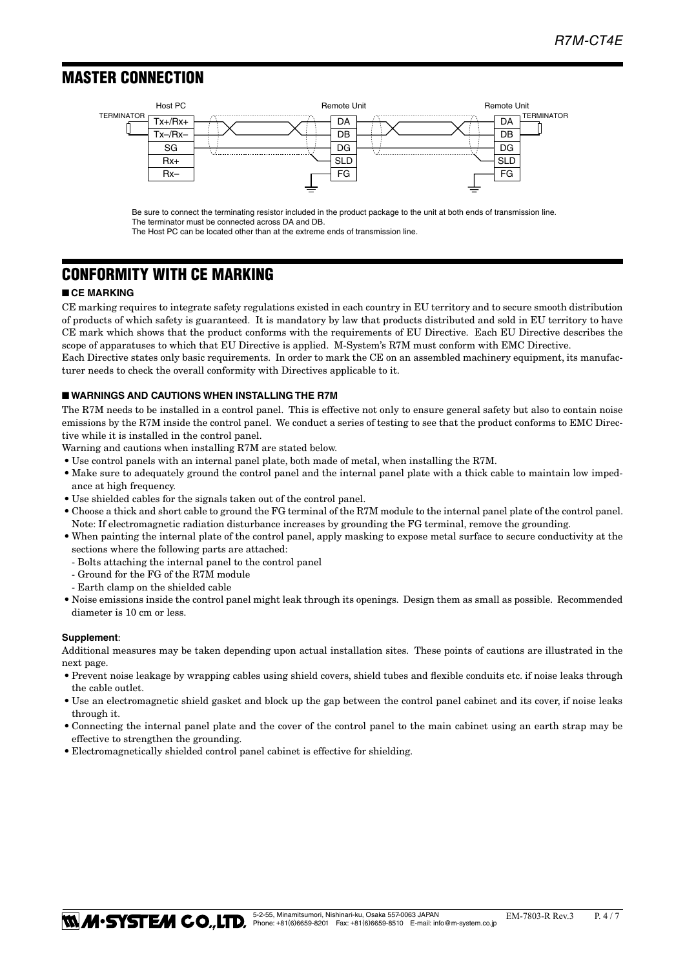# MASTER CONNECTION ■ **MASTER CONNECTION**



Be sure to connect the terminating resistor included in the product package to the unit at both ends of transmission line. The terminator must be connected across DA and DB.

The Host PC can be located other than at the extreme ends of transmission line.

# CONFORMITY WITH CE MARKING

# ■ **CE MARKING**

CE marking requires to integrate safety regulations existed in each country in EU territory and to secure smooth distribution of products of which safety is guaranteed. It is mandatory by law that products distributed and sold in EU territory to have CE mark which shows that the product conforms with the requirements of EU Directive. Each EU Directive describes the scope of apparatuses to which that EU Directive is applied. M-System's R7M must conform with EMC Directive. Each Directive states only basic requirements. In order to mark the CE on an assembled machinery equipment, its manufac-

turer needs to check the overall conformity with Directives applicable to it.

# ■ **WARNINGS AND CAUTIONS WHEN INSTALLING THE R7M**

The R7M needs to be installed in a control panel. This is effective not only to ensure general safety but also to contain noise emissions by the R7M inside the control panel. We conduct a series of testing to see that the product conforms to EMC Directive while it is installed in the control panel.

Warning and cautions when installing R7M are stated below.

- • Use control panels with an internal panel plate, both made of metal, when installing the R7M.
- Make sure to adequately ground the control panel and the internal panel plate with a thick cable to maintain low impedance at high frequency.
- $\bullet$  Use shielded cables for the signals taken out of the control panel.
- • Choose a thick and short cable to ground the FG terminal of the R7M module to the internal panel plate of the control panel. Note: If electromagnetic radiation disturbance increases by grounding the FG terminal, remove the grounding.
- • When painting the internal plate of the control panel, apply masking to expose metal surface to secure conductivity at the sections where the following parts are attached:
	- Bolts attaching the internal panel to the control panel
	- Ground for the FG of the R7M module
	- Earth clamp on the shielded cable
- • Noise emissions inside the control panel might leak through its openings. Design them as small as possible. Recommended diameter is 10 cm or less.

#### **Supplement**:

Additional measures may be taken depending upon actual installation sites. These points of cautions are illustrated in the next page.

- • Prevent noise leakage by wrapping cables using shield covers, shield tubes and flexible conduits etc. if noise leaks through the cable outlet.
- Use an electromagnetic shield gasket and block up the gap between the control panel cabinet and its cover, if noise leaks through it.
- • Connecting the internal panel plate and the cover of the control panel to the main cabinet using an earth strap may be effective to strengthen the grounding.
- Electromagnetically shielded control panel cabinet is effective for shielding.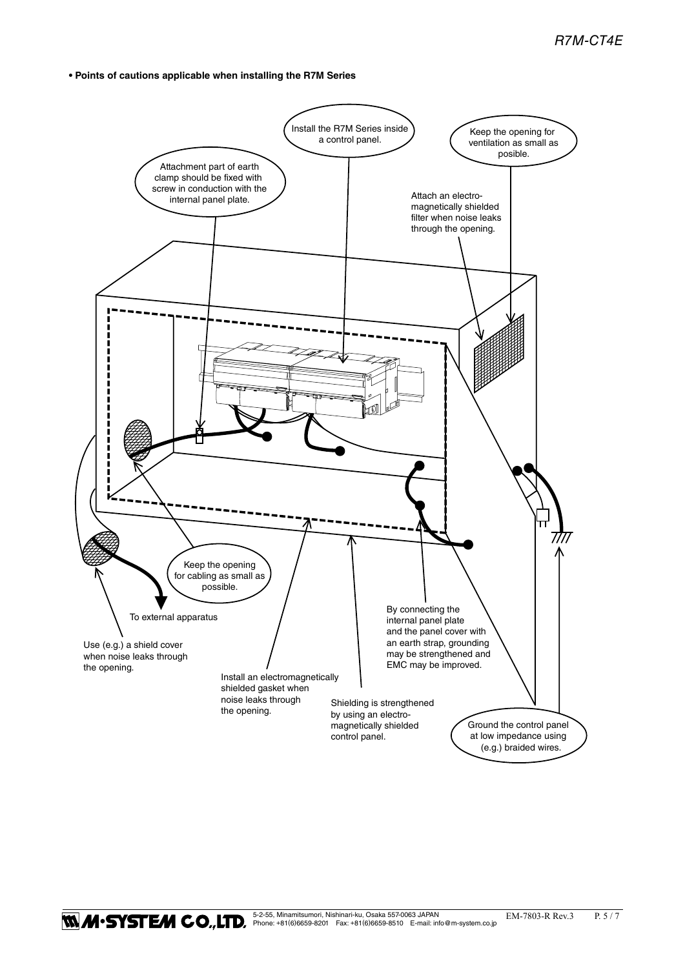**• Points of cautions applicable when installing the R7M Series**

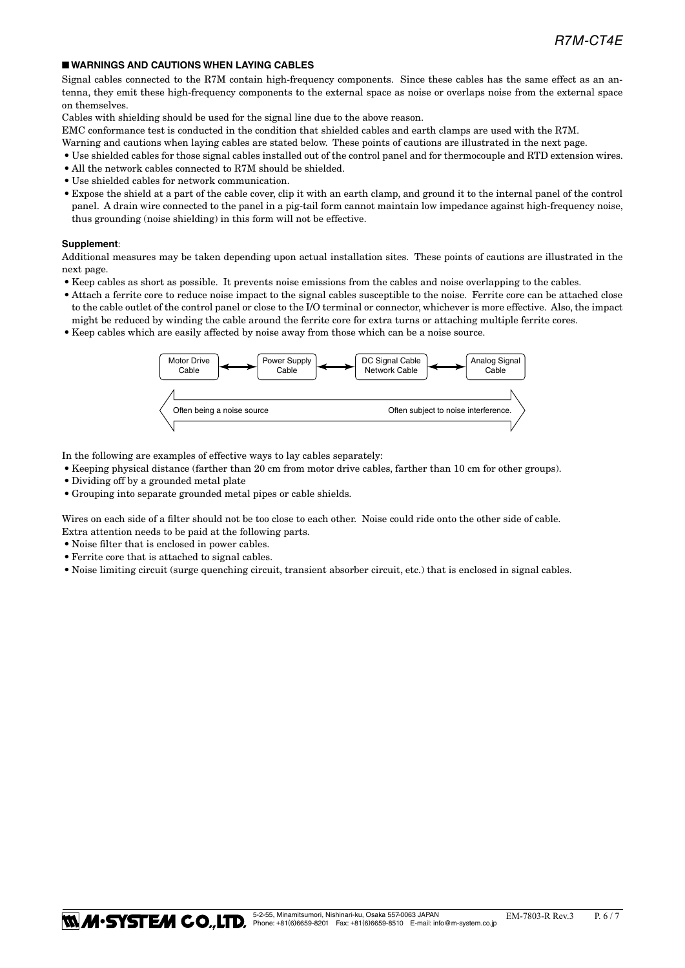# ■ **WARNINGS AND CAUTIONS WHEN LAYING CABLES**

Signal cables connected to the R7M contain high-frequency components. Since these cables has the same effect as an antenna, they emit these high-frequency components to the external space as noise or overlaps noise from the external space on themselves.

Cables with shielding should be used for the signal line due to the above reason.

EMC conformance test is conducted in the condition that shielded cables and earth clamps are used with the R7M.

- Warning and cautions when laying cables are stated below. These points of cautions are illustrated in the next page.
- • Use shielded cables for those signal cables installed out of the control panel and for thermocouple and RTD extension wires.
- All the network cables connected to R7M should be shielded.
- • Use shielded cables for network communication.
- • Expose the shield at a part of the cable cover, clip it with an earth clamp, and ground it to the internal panel of the control panel. A drain wire connected to the panel in a pig-tail form cannot maintain low impedance against high-frequency noise, thus grounding (noise shielding) in this form will not be effective.

#### **Supplement**:

Additional measures may be taken depending upon actual installation sites. These points of cautions are illustrated in the next page.

- • Keep cables as short as possible. It prevents noise emissions from the cables and noise overlapping to the cables.
- • Attach a ferrite core to reduce noise impact to the signal cables susceptible to the noise. Ferrite core can be attached close to the cable outlet of the control panel or close to the I/O terminal or connector, whichever is more effective. Also, the impact might be reduced by winding the cable around the ferrite core for extra turns or attaching multiple ferrite cores.
- • Keep cables which are easily affected by noise away from those which can be a noise source.



In the following are examples of effective ways to lay cables separately:

- • Keeping physical distance (farther than 20 cm from motor drive cables, farther than 10 cm for other groups).
- Dividing off by a grounded metal plate
- • Grouping into separate grounded metal pipes or cable shields.

Wires on each side of a filter should not be too close to each other. Noise could ride onto the other side of cable. Extra attention needs to be paid at the following parts.

- Noise filter that is enclosed in power cables.
- • Ferrite core that is attached to signal cables.
- • Noise limiting circuit (surge quenching circuit, transient absorber circuit, etc.) that is enclosed in signal cables.